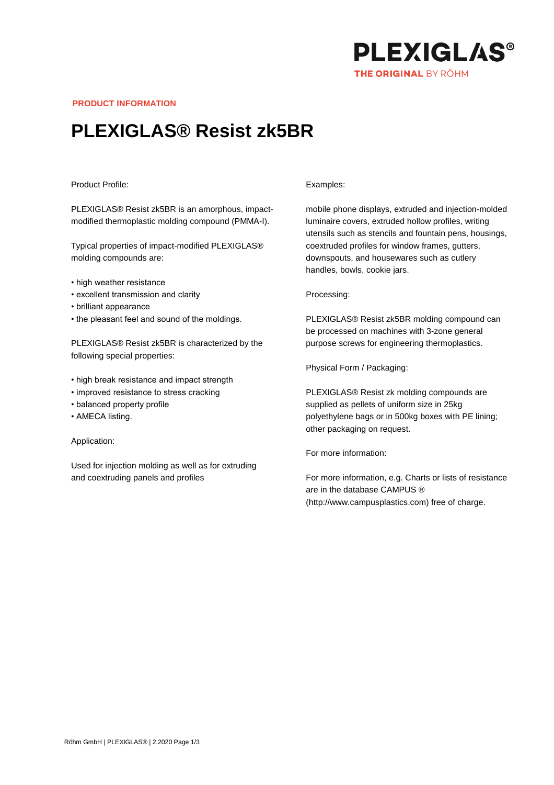

**PRODUCT INFORMATION**

# **PLEXIGLAS® Resist zk5BR**

### Product Profile:

PLEXIGLAS® Resist zk5BR is an amorphous, impactmodified thermoplastic molding compound (PMMA-I).

Typical properties of impact-modified PLEXIGLAS® molding compounds are:

- high weather resistance
- excellent transmission and clarity
- brilliant appearance
- the pleasant feel and sound of the moldings.

PLEXIGLAS® Resist zk5BR is characterized by the following special properties:

- high break resistance and impact strength
- improved resistance to stress cracking
- balanced property profile
- AMECA listing.

Application:

Used for injection molding as well as for extruding and coextruding panels and profiles

#### Examples:

mobile phone displays, extruded and injection-molded luminaire covers, extruded hollow profiles, writing utensils such as stencils and fountain pens, housings, coextruded profiles for window frames, gutters, downspouts, and housewares such as cutlery handles, bowls, cookie jars.

#### Processing:

PLEXIGLAS® Resist zk5BR molding compound can be processed on machines with 3-zone general purpose screws for engineering thermoplastics.

Physical Form / Packaging:

PLEXIGLAS® Resist zk molding compounds are supplied as pellets of uniform size in 25kg polyethylene bags or in 500kg boxes with PE lining; other packaging on request.

For more information:

For more information, e.g. Charts or lists of resistance are in the database CAMPUS ® (http://www.campusplastics.com) free of charge.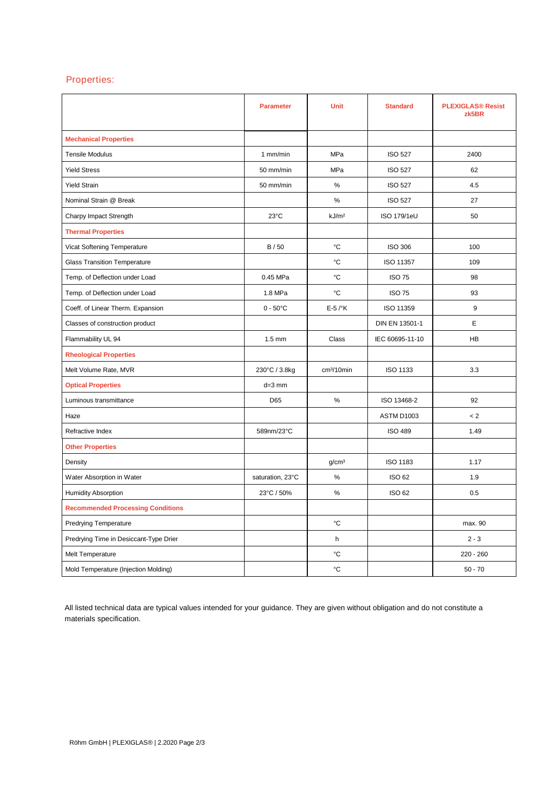## Properties:

|                                          | <b>Parameter</b>   | <b>Unit</b>            | <b>Standard</b>    | <b>PLEXIGLAS® Resist</b><br>zk5BR |
|------------------------------------------|--------------------|------------------------|--------------------|-----------------------------------|
| <b>Mechanical Properties</b>             |                    |                        |                    |                                   |
| <b>Tensile Modulus</b>                   | 1 mm/min           | MPa                    | <b>ISO 527</b>     | 2400                              |
| <b>Yield Stress</b>                      | 50 mm/min          | MPa                    | <b>ISO 527</b>     | 62                                |
| <b>Yield Strain</b>                      | 50 mm/min          | $\%$                   | <b>ISO 527</b>     | 4.5                               |
| Nominal Strain @ Break                   |                    | $\%$                   | <b>ISO 527</b>     | 27                                |
| Charpy Impact Strength                   | $23^{\circ}$ C     | kJ/m <sup>2</sup>      | <b>ISO 179/1eU</b> | 50                                |
| <b>Thermal Properties</b>                |                    |                        |                    |                                   |
| Vicat Softening Temperature              | B/50               | °C                     | <b>ISO 306</b>     | 100                               |
| <b>Glass Transition Temperature</b>      |                    | °C                     | ISO 11357          | 109                               |
| Temp. of Deflection under Load           | 0.45 MPa           | °C                     | <b>ISO 75</b>      | 98                                |
| Temp. of Deflection under Load           | 1.8 MPa            | °C                     | <b>ISO 75</b>      | 93                                |
| Coeff. of Linear Therm. Expansion        | $0 - 50^{\circ}$ C | $E-5$ / $\mathrm{K}$   | ISO 11359          | 9                                 |
| Classes of construction product          |                    |                        | DIN EN 13501-1     | Е                                 |
| Flammability UL 94                       | $1.5 \text{ mm}$   | Class                  | IEC 60695-11-10    | HB                                |
| <b>Rheological Properties</b>            |                    |                        |                    |                                   |
| Melt Volume Rate, MVR                    | 230°C / 3.8kg      | cm <sup>3</sup> /10min | <b>ISO 1133</b>    | 3.3                               |
| <b>Optical Properties</b>                | $d=3$ mm           |                        |                    |                                   |
| Luminous transmittance                   | D65                | %                      | ISO 13468-2        | 92                                |
| Haze                                     |                    |                        | ASTM D1003         | < 2                               |
| Refractive Index                         | 589nm/23°C         |                        | <b>ISO 489</b>     | 1.49                              |
| <b>Other Properties</b>                  |                    |                        |                    |                                   |
| Density                                  |                    | g/cm <sup>3</sup>      | <b>ISO 1183</b>    | 1.17                              |
| Water Absorption in Water                | saturation, 23°C   | $\%$                   | <b>ISO 62</b>      | 1.9                               |
| <b>Humidity Absorption</b>               | 23°C / 50%         | $\%$                   | <b>ISO 62</b>      | 0.5                               |
| <b>Recommended Processing Conditions</b> |                    |                        |                    |                                   |
| <b>Predrying Temperature</b>             |                    | °C                     |                    | max. 90                           |
| Predrying Time in Desiccant-Type Drier   |                    | h                      |                    | $2 - 3$                           |
| Melt Temperature                         |                    | °C                     |                    | $220 - 260$                       |
| Mold Temperature (Injection Molding)     |                    | °C                     |                    | $50 - 70$                         |

All listed technical data are typical values intended for your guidance. They are given without obligation and do not constitute a materials specification.